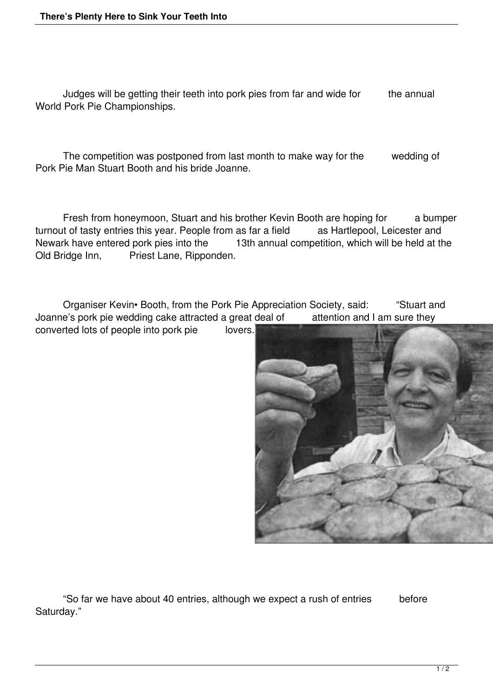Judges will be getting their teeth into pork pies from far and wide for the annual World Pork Pie Championships.

 The competition was postponed from last month to make way for the wedding of Pork Pie Man Stuart Booth and his bride Joanne.

 Fresh from honeymoon, Stuart and his brother Kevin Booth are hoping for a bumper turnout of tasty entries this year. People from as far a field as Hartlepool, Leicester and Newark have entered pork pies into the 13th annual competition, which will be held at the Old Bridge Inn, Priest Lane, Ripponden.

 Organiser Kevin• Booth, from the Pork Pie Appreciation Society, said: "Stuart and Joanne's pork pie wedding cake attracted a great deal of attention and I am sure they converted lots of people into pork pie lovers.



 "So far we have about 40 entries, although we expect a rush of entries before Saturday."